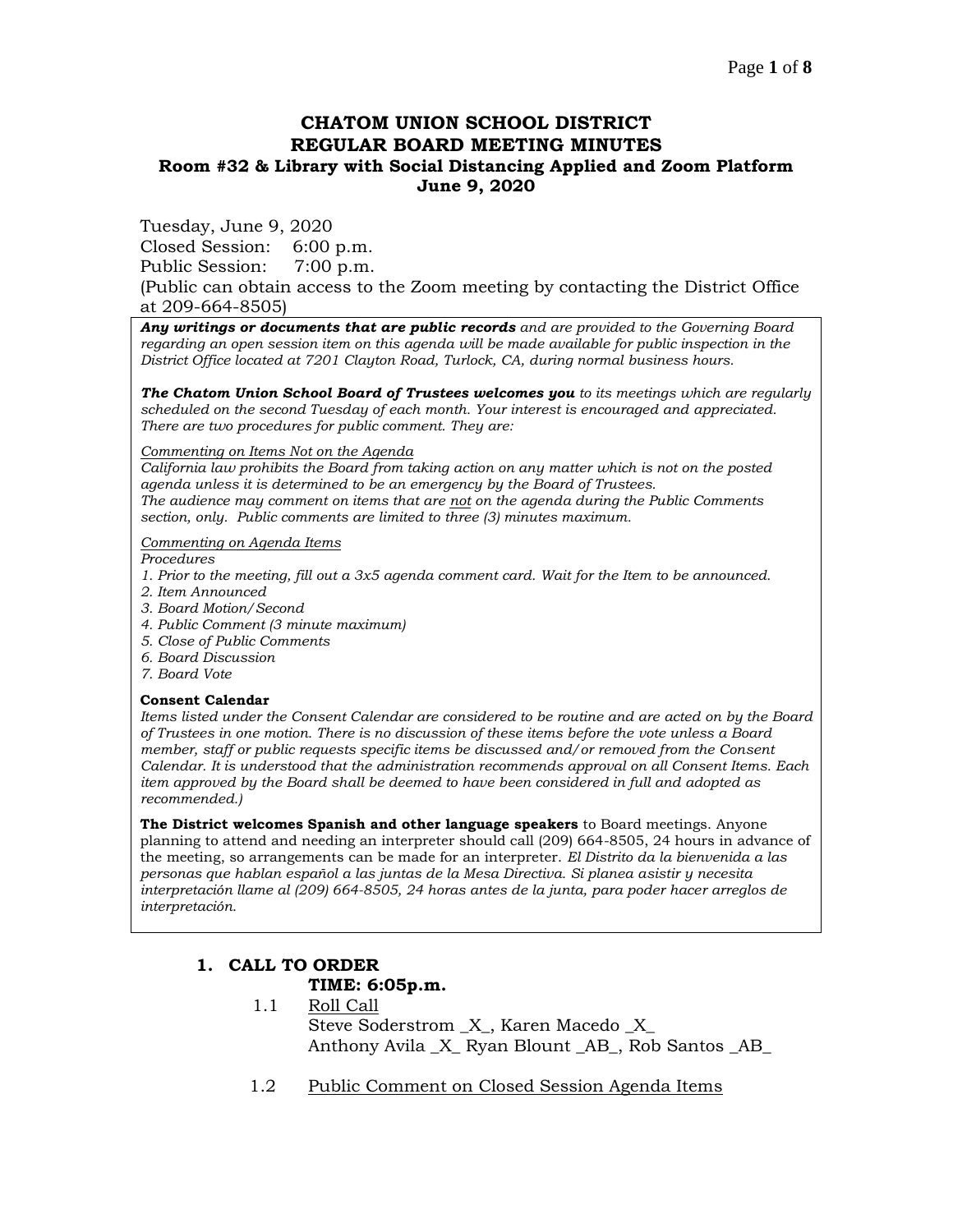## **CHATOM UNION SCHOOL DISTRICT REGULAR BOARD MEETING MINUTES Room #32 & Library with Social Distancing Applied and Zoom Platform June 9, 2020**

Tuesday, June 9, 2020

Closed Session: 6:00 p.m. Public Session: 7:00 p.m.

(Public can obtain access to the Zoom meeting by contacting the District Office at 209-664-8505)

*Any writings or documents that are public records and are provided to the Governing Board regarding an open session item on this agenda will be made available for public inspection in the District Office located at 7201 Clayton Road, Turlock, CA, during normal business hours.*

*The Chatom Union School Board of Trustees welcomes you to its meetings which are regularly scheduled on the second Tuesday of each month. Your interest is encouraged and appreciated. There are two procedures for public comment. They are:*

*Commenting on Items Not on the Agenda*

*California law prohibits the Board from taking action on any matter which is not on the posted agenda unless it is determined to be an emergency by the Board of Trustees. The audience may comment on items that are not on the agenda during the Public Comments section, only. Public comments are limited to three (3) minutes maximum.*

#### *Commenting on Agenda Items*

*Procedures* 

- *1. Prior to the meeting, fill out a 3x5 agenda comment card. Wait for the Item to be announced.*
- *2. Item Announced*
- *3. Board Motion/Second*
- *4. Public Comment (3 minute maximum)*
- *5. Close of Public Comments*
- *6. Board Discussion*
- *7. Board Vote*

#### **Consent Calendar**

*Items listed under the Consent Calendar are considered to be routine and are acted on by the Board of Trustees in one motion. There is no discussion of these items before the vote unless a Board member, staff or public requests specific items be discussed and/or removed from the Consent Calendar. It is understood that the administration recommends approval on all Consent Items. Each item approved by the Board shall be deemed to have been considered in full and adopted as recommended.)*

**The District welcomes Spanish and other language speakers** to Board meetings. Anyone planning to attend and needing an interpreter should call (209) 664-8505, 24 hours in advance of the meeting, so arrangements can be made for an interpreter. *El Distrito da la bienvenida a las personas que hablan español a las juntas de la Mesa Directiva. Si planea asistir y necesita interpretación llame al (209) 664-8505, 24 horas antes de la junta, para poder hacer arreglos de interpretación.*

# **1. CALL TO ORDER**

# **TIME: 6:05p.m.**

- 1.1 Roll Call Steve Soderstrom \_X\_, Karen Macedo \_X\_ Anthony Avila X Ryan Blount AB, Rob Santos AB
- 1.2 Public Comment on Closed Session Agenda Items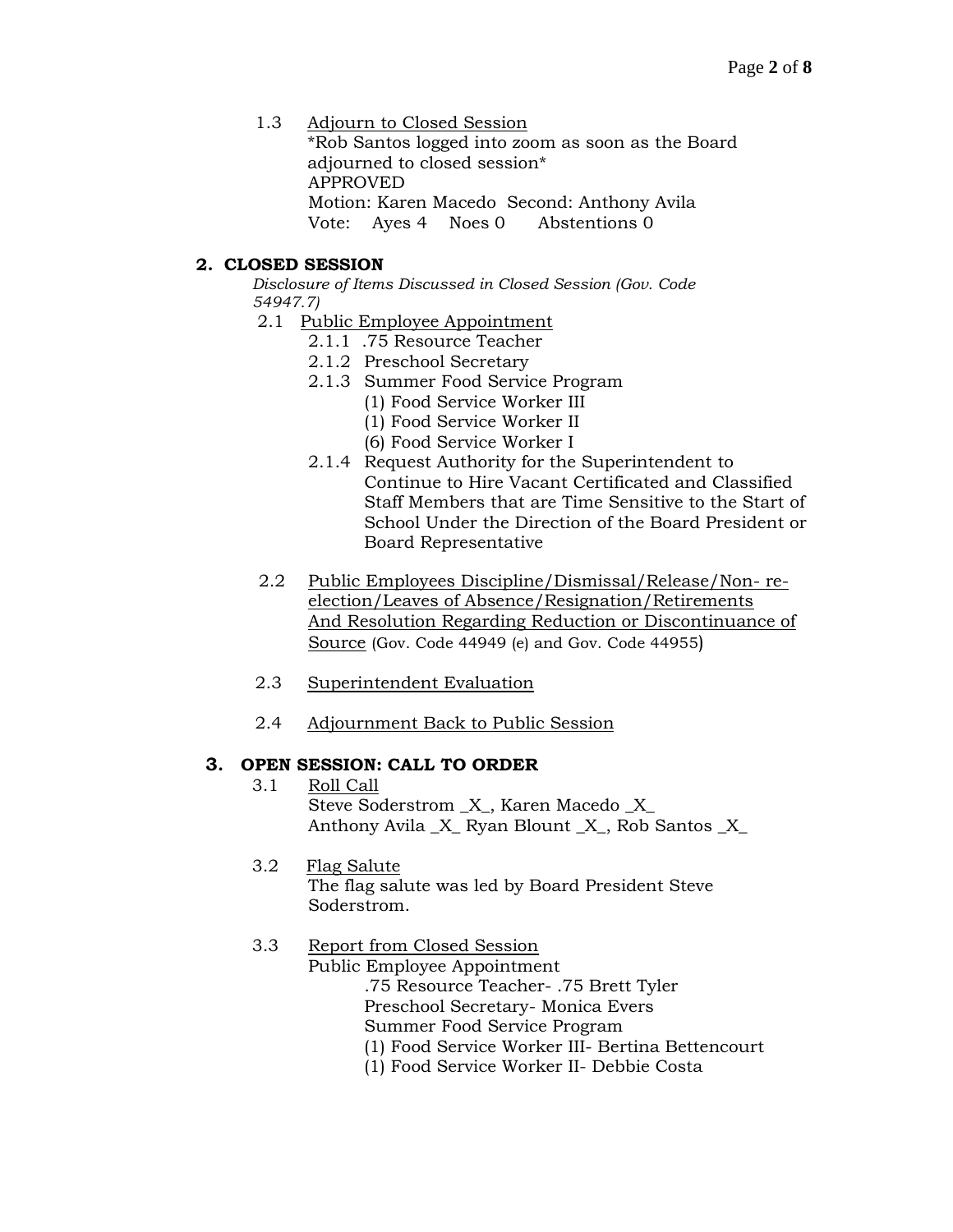1.3 Adjourn to Closed Session

\*Rob Santos logged into zoom as soon as the Board adjourned to closed session\* APPROVED Motion: Karen Macedo Second: Anthony Avila

Vote: Ayes 4 Noes 0 Abstentions 0

# **2. CLOSED SESSION**

*Disclosure of Items Discussed in Closed Session (Gov. Code 54947.7)*

- 2.1 Public Employee Appointment
	- 2.1.1 .75 Resource Teacher
	- 2.1.2 Preschool Secretary
	- 2.1.3 Summer Food Service Program
		- (1) Food Service Worker III
		- (1) Food Service Worker II
		- (6) Food Service Worker I
	- 2.1.4 Request Authority for the Superintendent to Continue to Hire Vacant Certificated and Classified Staff Members that are Time Sensitive to the Start of School Under the Direction of the Board President or Board Representative
- 2.2 Public Employees Discipline/Dismissal/Release/Non- reelection/Leaves of Absence/Resignation/Retirements And Resolution Regarding Reduction or Discontinuance of Source (Gov. Code 44949 (e) and Gov. Code 44955)
- 2.3 Superintendent Evaluation
- 2.4 Adjournment Back to Public Session

## **3. OPEN SESSION: CALL TO ORDER**

- 3.1 Roll Call Steve Soderstrom  $X$ , Karen Macedo  $X$ Anthony Avila \_X\_ Ryan Blount \_X\_, Rob Santos \_X\_
- 3.2 Flag Salute The flag salute was led by Board President Steve Soderstrom.

# 3.3 Report from Closed Session

Public Employee Appointment .75 Resource Teacher- .75 Brett Tyler Preschool Secretary- Monica Evers Summer Food Service Program (1) Food Service Worker III- Bertina Bettencourt

(1) Food Service Worker II- Debbie Costa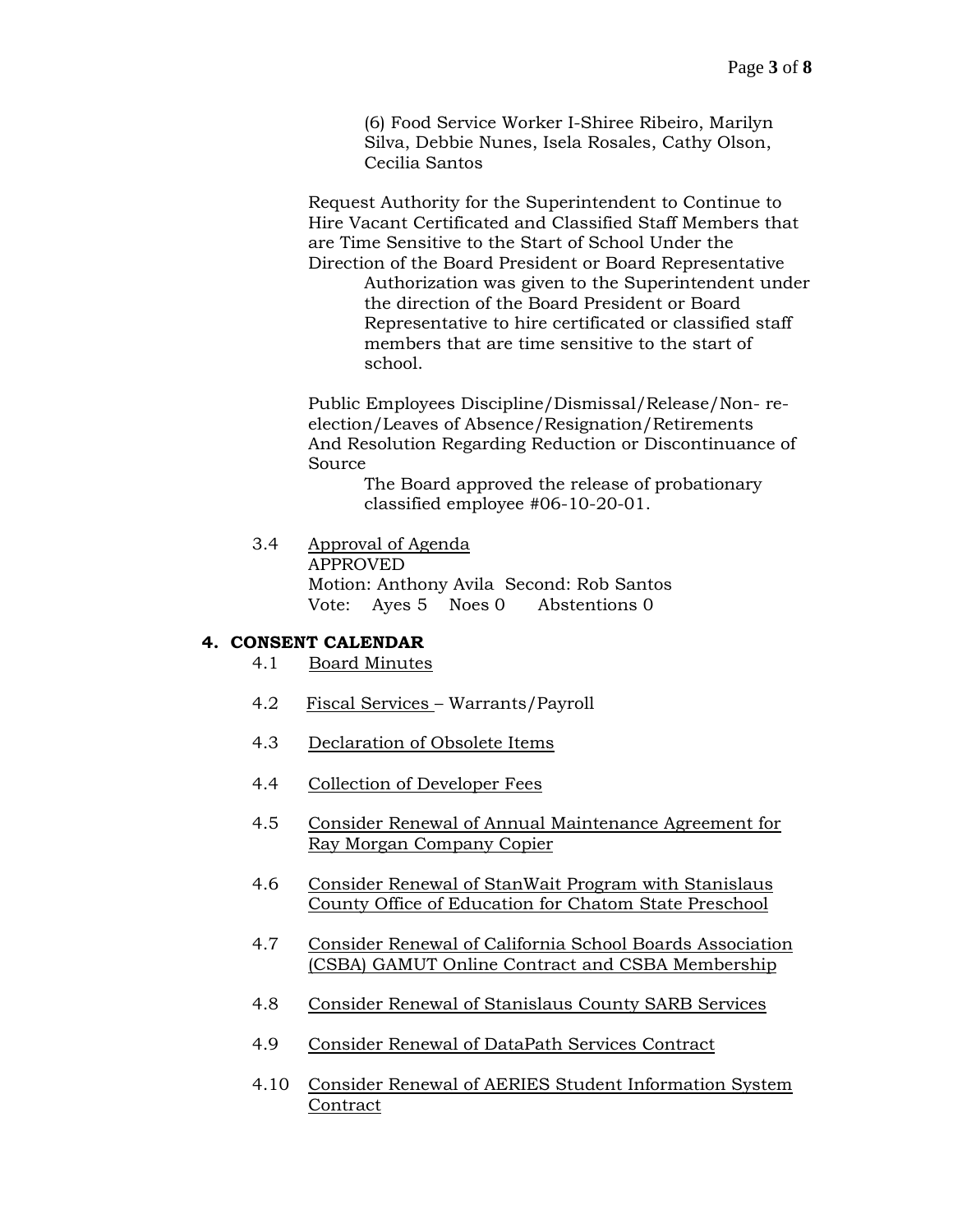(6) Food Service Worker I-Shiree Ribeiro, Marilyn Silva, Debbie Nunes, Isela Rosales, Cathy Olson, Cecilia Santos

Request Authority for the Superintendent to Continue to Hire Vacant Certificated and Classified Staff Members that are Time Sensitive to the Start of School Under the Direction of the Board President or Board Representative

Authorization was given to the Superintendent under the direction of the Board President or Board Representative to hire certificated or classified staff members that are time sensitive to the start of school.

Public Employees Discipline/Dismissal/Release/Non- reelection/Leaves of Absence/Resignation/Retirements And Resolution Regarding Reduction or Discontinuance of Source

> The Board approved the release of probationary classified employee #06-10-20-01.

3.4 Approval of Agenda APPROVED Motion: Anthony Avila Second: Rob Santos Vote: Ayes 5 Noes 0 Abstentions 0

### **4. CONSENT CALENDAR**

- 4.1 Board Minutes
- 4.2 Fiscal Services Warrants/Payroll
- 4.3 Declaration of Obsolete Items
- 4.4 Collection of Developer Fees
- 4.5 Consider Renewal of Annual Maintenance Agreement for Ray Morgan Company Copier
- 4.6 Consider Renewal of StanWait Program with Stanislaus County Office of Education for Chatom State Preschool
- 4.7 Consider Renewal of California School Boards Association (CSBA) GAMUT Online Contract and CSBA Membership
- 4.8 Consider Renewal of Stanislaus County SARB Services
- 4.9 Consider Renewal of DataPath Services Contract
- 4.10 Consider Renewal of AERIES Student Information System **Contract**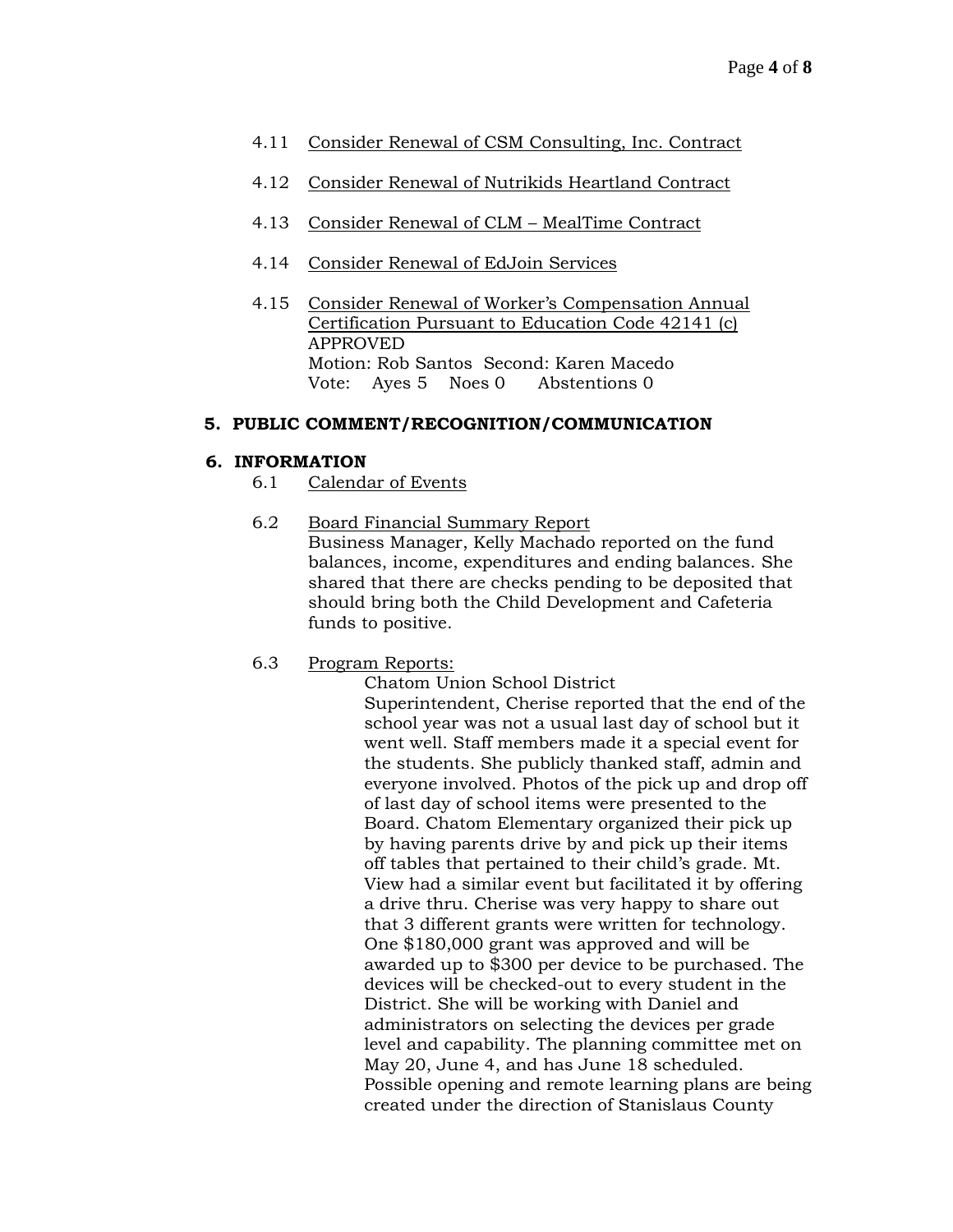- 4.11 Consider Renewal of CSM Consulting, Inc. Contract
- 4.12 Consider Renewal of Nutrikids Heartland Contract
- 4.13 Consider Renewal of CLM MealTime Contract
- 4.14 Consider Renewal of EdJoin Services
- 4.15 Consider Renewal of Worker's Compensation Annual Certification Pursuant to Education Code 42141 (c) APPROVED Motion: Rob Santos Second: Karen Macedo Vote: Ayes 5 Noes 0 Abstentions 0

### **5. PUBLIC COMMENT/RECOGNITION/COMMUNICATION**

### **6. INFORMATION**

- 6.1 Calendar of Events
- 6.2 Board Financial Summary Report Business Manager, Kelly Machado reported on the fund balances, income, expenditures and ending balances. She shared that there are checks pending to be deposited that should bring both the Child Development and Cafeteria funds to positive.
- 6.3 Program Reports:

Chatom Union School District Superintendent, Cherise reported that the end of the school year was not a usual last day of school but it went well. Staff members made it a special event for the students. She publicly thanked staff, admin and everyone involved. Photos of the pick up and drop off of last day of school items were presented to the Board. Chatom Elementary organized their pick up by having parents drive by and pick up their items off tables that pertained to their child's grade. Mt. View had a similar event but facilitated it by offering a drive thru. Cherise was very happy to share out that 3 different grants were written for technology. One \$180,000 grant was approved and will be awarded up to \$300 per device to be purchased. The devices will be checked-out to every student in the District. She will be working with Daniel and administrators on selecting the devices per grade level and capability. The planning committee met on May 20, June 4, and has June 18 scheduled. Possible opening and remote learning plans are being created under the direction of Stanislaus County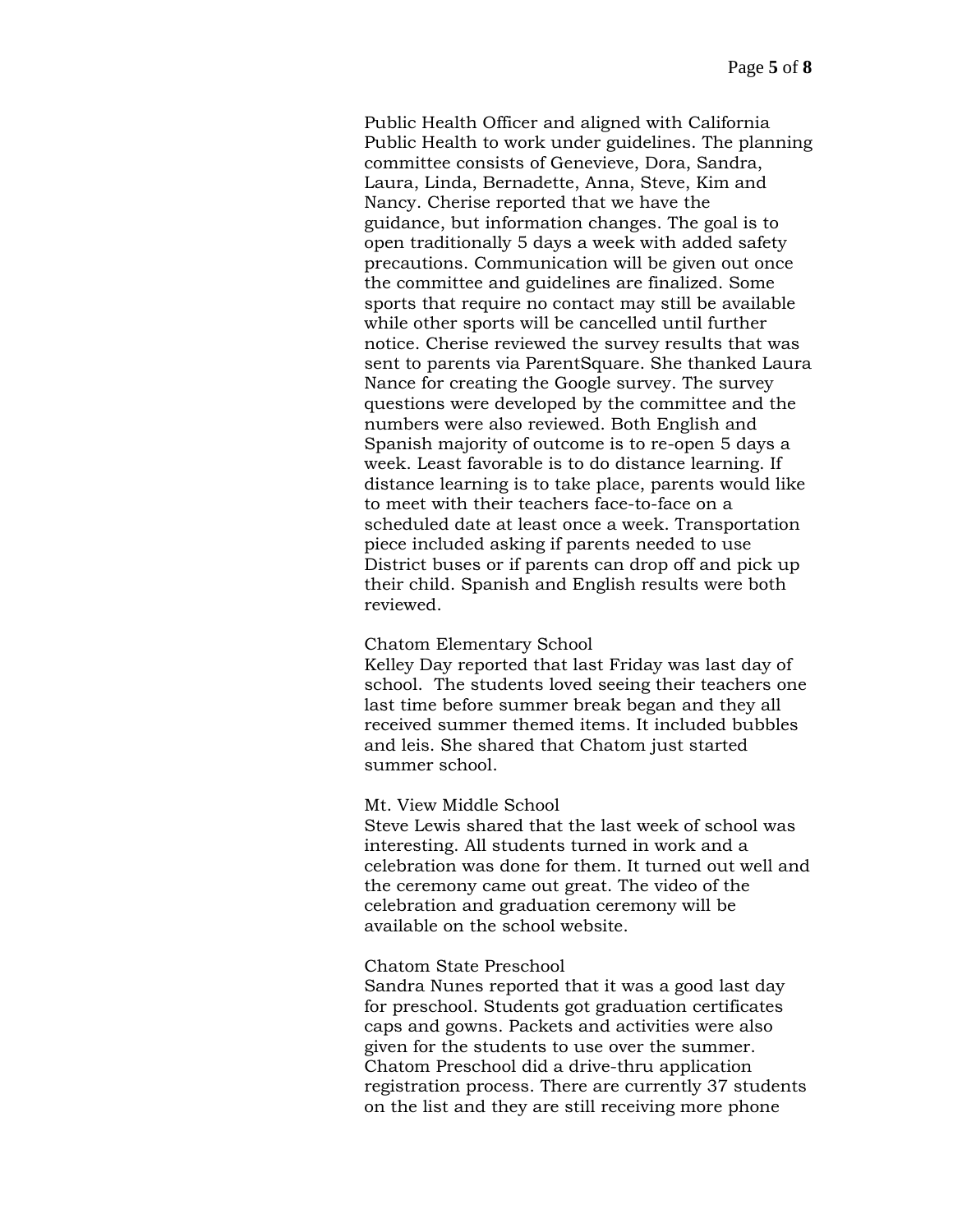Public Health Officer and aligned with California Public Health to work under guidelines. The planning committee consists of Genevieve, Dora, Sandra, Laura, Linda, Bernadette, Anna, Steve, Kim and Nancy. Cherise reported that we have the guidance, but information changes. The goal is to open traditionally 5 days a week with added safety precautions. Communication will be given out once the committee and guidelines are finalized. Some sports that require no contact may still be available while other sports will be cancelled until further notice. Cherise reviewed the survey results that was sent to parents via ParentSquare. She thanked Laura Nance for creating the Google survey. The survey questions were developed by the committee and the numbers were also reviewed. Both English and Spanish majority of outcome is to re-open 5 days a week. Least favorable is to do distance learning. If distance learning is to take place, parents would like to meet with their teachers face-to-face on a scheduled date at least once a week. Transportation piece included asking if parents needed to use District buses or if parents can drop off and pick up their child. Spanish and English results were both reviewed.

#### Chatom Elementary School

Kelley Day reported that last Friday was last day of school. The students loved seeing their teachers one last time before summer break began and they all received summer themed items. It included bubbles and leis. She shared that Chatom just started summer school.

#### Mt. View Middle School

Steve Lewis shared that the last week of school was interesting. All students turned in work and a celebration was done for them. It turned out well and the ceremony came out great. The video of the celebration and graduation ceremony will be available on the school website.

#### Chatom State Preschool

Sandra Nunes reported that it was a good last day for preschool. Students got graduation certificates caps and gowns. Packets and activities were also given for the students to use over the summer. Chatom Preschool did a drive-thru application registration process. There are currently 37 students on the list and they are still receiving more phone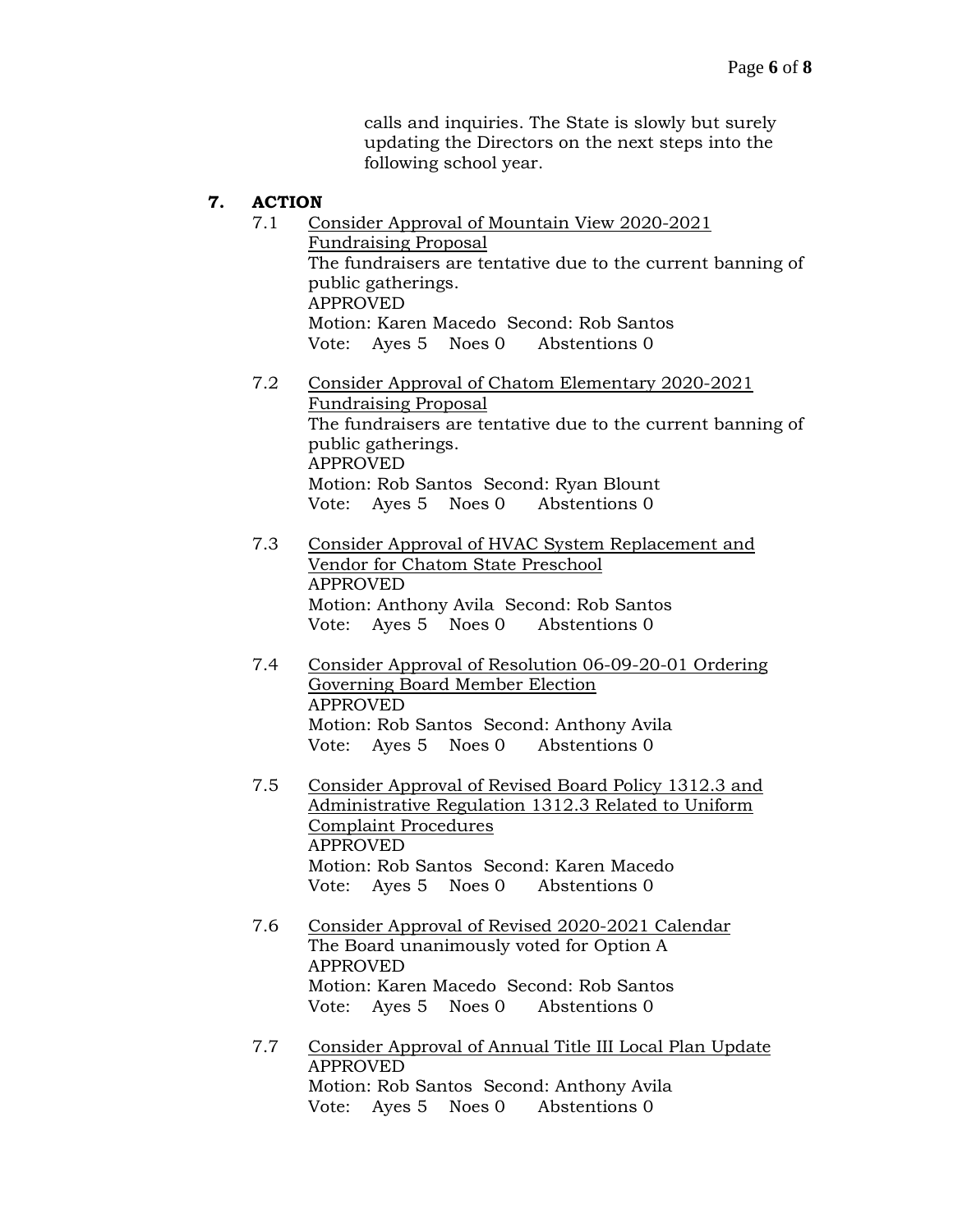calls and inquiries. The State is slowly but surely updating the Directors on the next steps into the following school year.

## **7. ACTION**

| 7.1 | Consider Approval of Mountain View 2020-2021<br><b>Fundraising Proposal</b><br>The fundraisers are tentative due to the current banning of<br>public gatherings.<br><b>APPROVED</b><br>Motion: Karen Macedo Second: Rob Santos<br>Vote: Ayes 5 Noes 0 Abstentions 0    |
|-----|------------------------------------------------------------------------------------------------------------------------------------------------------------------------------------------------------------------------------------------------------------------------|
| 7.2 | Consider Approval of Chatom Elementary 2020-2021<br><b>Fundraising Proposal</b><br>The fundraisers are tentative due to the current banning of<br>public gatherings.<br><b>APPROVED</b><br>Motion: Rob Santos Second: Ryan Blount<br>Vote: Ayes 5 Noes 0 Abstentions 0 |
|     | $\alpha$ '1 $\alpha$ 1 $\beta$ 1 $\beta$ 1 $\beta$ 1 $\beta$ 1 $\beta$ 1 $\beta$ 1 $\beta$ 1 $\beta$ 1 $\beta$ 1 $\beta$                                                                                                                                               |

- 7.3 Consider Approval of HVAC System Replacement and Vendor for Chatom State Preschool APPROVED Motion: Anthony Avila Second: Rob Santos Vote: Ayes 5 Noes 0 Abstentions 0
- 7.4 Consider Approval of Resolution 06-09-20-01 Ordering Governing Board Member Election APPROVED Motion: Rob Santos Second: Anthony Avila Vote: Ayes 5 Noes 0 Abstentions 0
- 7.5 Consider Approval of Revised Board Policy 1312.3 and Administrative Regulation 1312.3 Related to Uniform Complaint Procedures APPROVED Motion: Rob Santos Second: Karen Macedo Vote: Ayes 5 Noes 0 Abstentions 0
- 7.6 Consider Approval of Revised 2020-2021 Calendar The Board unanimously voted for Option A APPROVED Motion: Karen Macedo Second: Rob Santos Vote: Ayes 5 Noes 0 Abstentions 0
- 7.7 Consider Approval of Annual Title III Local Plan Update APPROVED Motion: Rob Santos Second: Anthony Avila Vote: Ayes 5 Noes 0 Abstentions 0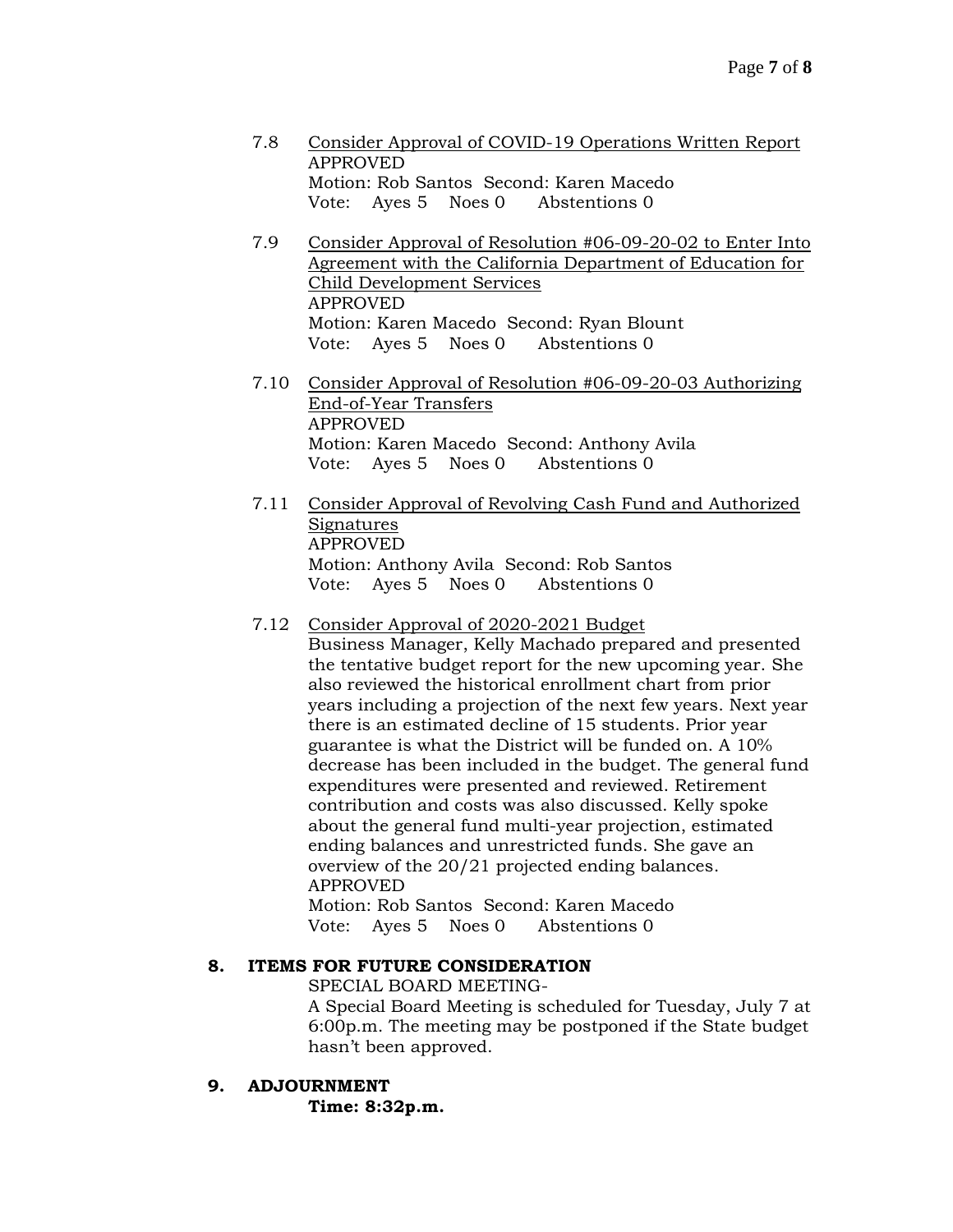- 7.8 Consider Approval of COVID-19 Operations Written Report APPROVED Motion: Rob Santos Second: Karen Macedo Vote: Ayes 5 Noes 0 Abstentions 0
- 7.9 Consider Approval of Resolution #06-09-20-02 to Enter Into Agreement with the California Department of Education for Child Development Services APPROVED Motion: Karen Macedo Second: Ryan Blount Vote: Ayes 5 Noes 0 Abstentions 0
- 7.10 Consider Approval of Resolution #06-09-20-03 Authorizing End-of-Year Transfers APPROVED Motion: Karen Macedo Second: Anthony Avila Vote: Ayes 5 Noes 0 Abstentions 0
- 7.11 Consider Approval of Revolving Cash Fund and Authorized Signatures APPROVED Motion: Anthony Avila Second: Rob Santos Vote: Ayes 5 Noes 0 Abstentions 0

## 7.12 Consider Approval of 2020-2021 Budget

Business Manager, Kelly Machado prepared and presented the tentative budget report for the new upcoming year. She also reviewed the historical enrollment chart from prior years including a projection of the next few years. Next year there is an estimated decline of 15 students. Prior year guarantee is what the District will be funded on. A 10% decrease has been included in the budget. The general fund expenditures were presented and reviewed. Retirement contribution and costs was also discussed. Kelly spoke about the general fund multi-year projection, estimated ending balances and unrestricted funds. She gave an overview of the 20/21 projected ending balances. APPROVED Motion: Rob Santos Second: Karen Macedo

Vote: Ayes 5 Noes 0 Abstentions 0

#### **8. ITEMS FOR FUTURE CONSIDERATION**

SPECIAL BOARD MEETING-

A Special Board Meeting is scheduled for Tuesday, July 7 at 6:00p.m. The meeting may be postponed if the State budget hasn't been approved.

#### **9. ADJOURNMENT**

**Time: 8:32p.m.**